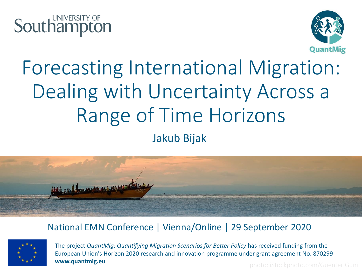



## Forecasting International Migration: Dealing with Uncertainty Across a Range of Time Horizons Jakub Bijak



#### National EMN Conference | Vienna/Online | 29 September 2020



The project *QuantMig: Quantifying Migration Scenarios for Better Policy* has received funding from the European Union's Horizon 2020 research and innovation programme under grant agreement No. 870299 **www.quantmig.eu** photo: iStockphoto.com/Guenter Guni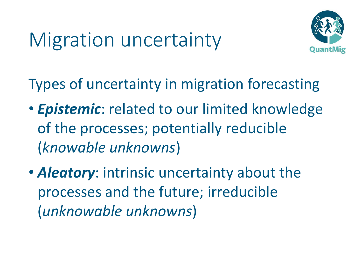## Migration uncertainty



Types of uncertainty in migration forecasting

- *Epistemic*: related to our limited knowledge of the processes; potentially reducible (*knowable unknowns*)
- *Aleatory*: intrinsic uncertainty about the processes and the future; irreducible (*unknowable unknowns*)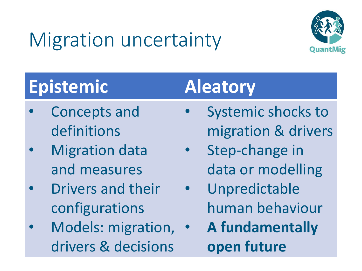# Migration uncertainty



| <b>Epistemic</b> |                                       |  |  |  |
|------------------|---------------------------------------|--|--|--|
|                  | <b>Concepts and</b>                   |  |  |  |
|                  | $\mathbf{r}$ . The state $\mathbf{r}$ |  |  |  |

- definitions
- **Migration data** and measures
- Drivers and their configurations
- Models: migration, drivers & decisions

#### **Epistemic Aleatory**

- Systemic shocks to migration & drivers
- Step-change in data or modelling
- Unpredictable human behaviour
- **A fundamentally open future**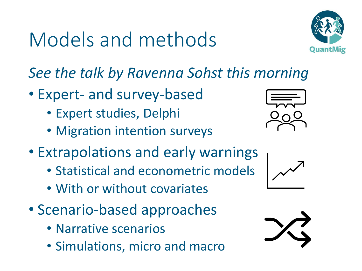## Models and methods



*See the talk by Ravenna Sohst this morning*

- Expert- and survey-based
	- Expert studies, Delphi
	- Migration intention surveys



- Statistical and econometric models
- With or without covariates
- Scenario-based approaches
	- Narrative scenarios
	- Simulations, micro and macro





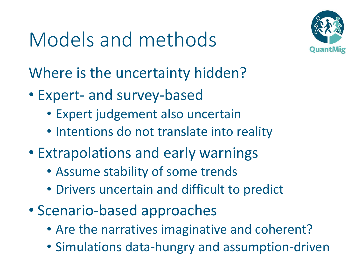## Models and methods



Where is the uncertainty hidden?

- Expert- and survey-based
	- Expert judgement also uncertain
	- Intentions do not translate into reality
- Extrapolations and early warnings
	- Assume stability of some trends
	- Drivers uncertain and difficult to predict
- Scenario-based approaches
	- Are the narratives imaginative and coherent?
	- Simulations data-hungry and assumption-driven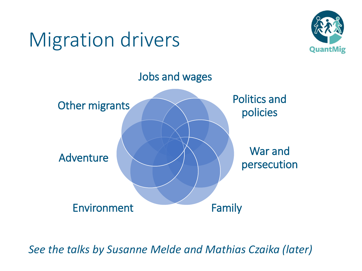## Migration drivers





*See the talks by Susanne Melde and Mathias Czaika (later)*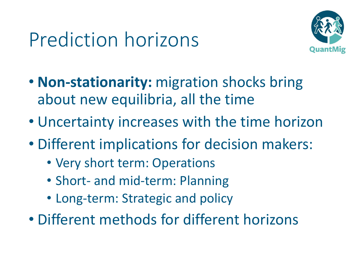## Prediction horizons



- **Non-stationarity:** migration shocks bring about new equilibria, all the time
- Uncertainty increases with the time horizon
- Different implications for decision makers:
	- Very short term: Operations
	- Short- and mid-term: Planning
	- Long-term: Strategic and policy
- Different methods for different horizons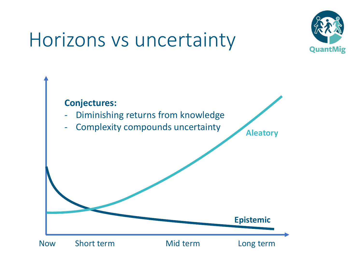## Horizons vs uncertainty



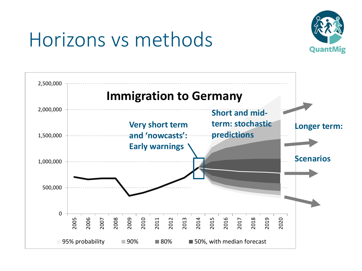

## Horizons vs methods

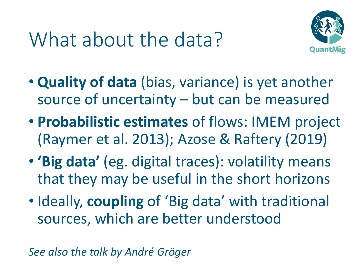## What about the data?



- **Quality of data** (bias, variance) is yet another source of uncertainty – but can be measured
- **Probabilistic estimates** of flows: IMEM project (Raymer et al. 2013); Azose & Raftery (2019)
- **'Big data'** (eg. digital traces): volatility means that they may be useful in the short horizons
- Ideally, **coupling** of 'Big data' with traditional sources, which are better understood

*See also the talk by André Gröger*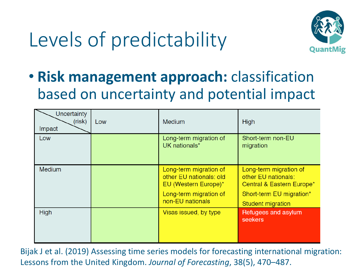## Levels of predictability



• **Risk management approach:** classification based on uncertainty and potential impact

| Uncertainty<br>(risk)<br>Impact | Low | <b>Medium</b>                                                                                                           | <b>High</b>                                                                                                                 |
|---------------------------------|-----|-------------------------------------------------------------------------------------------------------------------------|-----------------------------------------------------------------------------------------------------------------------------|
| Low                             |     | Long-term migration of<br>UK nationals*                                                                                 | Short-term non-EU<br>migration                                                                                              |
| <b>Medium</b>                   |     | Long-term migration of<br>other EU nationals: old<br>EU (Western Europe)*<br>Long-term migration of<br>non-EU nationals | Long-term migration of<br>other EU nationals:<br>Central & Eastern Europe*<br>Short-term EU migration*<br>Student migration |
| <b>High</b>                     |     | Visas issued, by type                                                                                                   | Refugees and asylum<br>seekers                                                                                              |

Bijak J et al. (2019) Assessing time series models for forecasting international migration: Lessons from the United Kingdom. *Journal of Forecasting*, 38(5), 470–487.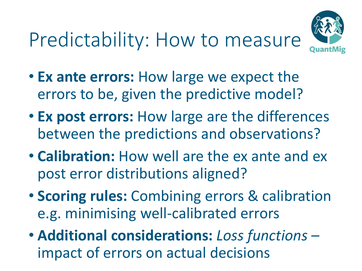## Predictability: How to measure



- **Ex ante errors:** How large we expect the errors to be, given the predictive model?
- **Ex post errors:** How large are the differences between the predictions and observations?
- **Calibration:** How well are the ex ante and ex post error distributions aligned?
- **Scoring rules:** Combining errors & calibration e.g. minimising well-calibrated errors
- **Additional considerations:** *Loss functions*  impact of errors on actual decisions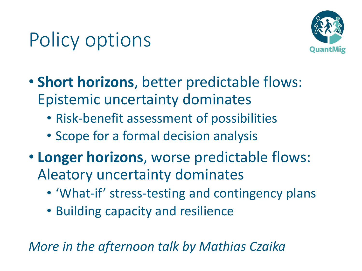## Policy options



- **Short horizons**, better predictable flows: Epistemic uncertainty dominates
	- Risk-benefit assessment of possibilities
	- Scope for a formal decision analysis
- **Longer horizons**, worse predictable flows: Aleatory uncertainty dominates
	- 'What-if' stress-testing and contingency plans
	- Building capacity and resilience

*More in the afternoon talk by Mathias Czaika*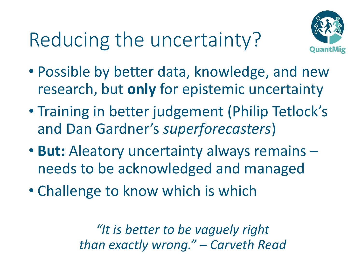## Reducing the uncertainty?



- Possible by better data, knowledge, and new research, but **only** for epistemic uncertainty
- Training in better judgement (Philip Tetlock's and Dan Gardner's *superforecasters*)
- **But:** Aleatory uncertainty always remains needs to be acknowledged and managed
- Challenge to know which is which

*"It is better to be vaguely right than exactly wrong." – Carveth Read*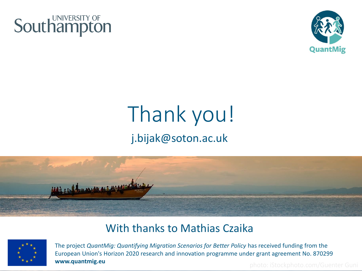



#### Thank you! j.bijak@soton.ac.uk



#### With thanks to Mathias Czaika



The project *QuantMig: Quantifying Migration Scenarios for Better Policy* has received funding from the European Union's Horizon 2020 research and innovation programme under grant agreement No. 870299 **www.quantmig.eu** photo: iStockphoto.com/Guenter Guni